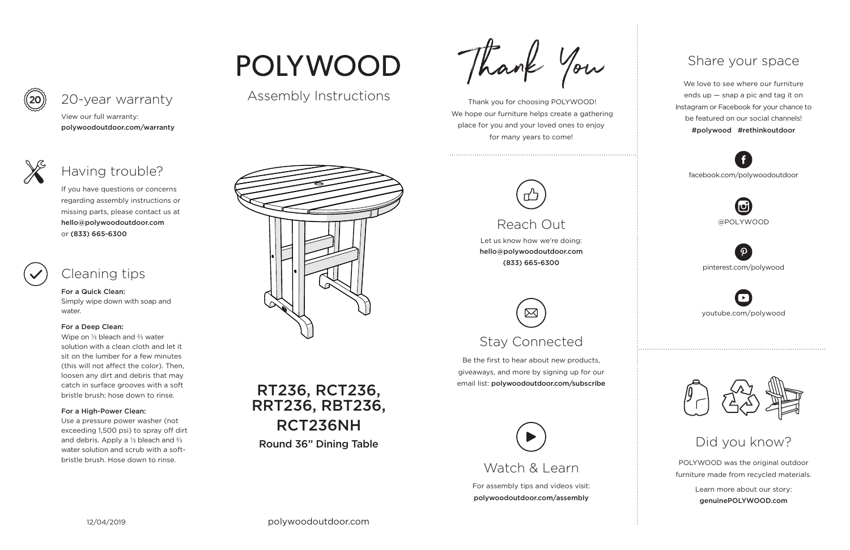For assembly tips and videos visit: polywoodoutdoor.com/assembly

 Thank you for choosing POLYWOOD! We hope our furniture helps create a gathering place for you and your loved ones to enjoy for many years to come!



Let us know how we're doing: hello@polywoodoutdoor.com (833) 665-6300

Be the first to hear about new products, giveaways, and more by signing up for our email list: polywoodoutdoor.com/subscribe



POLYWOOD was the original outdoor furniture made from recycled materials.

> Learn more about our story: genuinePOLYWOOD.com

We love to see where our furniture ends up — snap a pic and tag it on Instagram or Facebook for your chance to be featured on our social channels! #polywood #rethinkoutdoor



youtube.com/polywood



pinterest.com/polywood



facebook.com/polywoodoutdoor





## POLYWOOD

## Assembly Instructions

Thank You

Watch & Learn

## Reach Out

# Stay Connected

### Share your space

## Did you know?

View our full warranty:

polywoodoutdoor.com/warranty

#### For a Quick Clean:

Simply wipe down with soap and water.

#### For a Deep Clean:

Wipe on ⅓ bleach and ⅔ water solution with a clean cloth and let it sit on the lumber for a few minutes (this will not affect the color). Then, loosen any dirt and debris that may catch in surface grooves with a soft bristle brush; hose down to rinse.

#### For a High-Power Clean:

Use a pressure power washer (not exceeding 1,500 psi) to spray off dirt and debris. Apply a ⅓ bleach and ⅔ water solution and scrub with a softbristle brush. Hose down to rinse.



If you have questions or concerns regarding assembly instructions or missing parts, please contact us at hello@polywoodoutdoor.com or (833) 665-6300



20-year warranty

## Having trouble?

## Cleaning tips

RT236, RCT236, RRT236, RBT236, RCT236NH Round 36" Dining Table